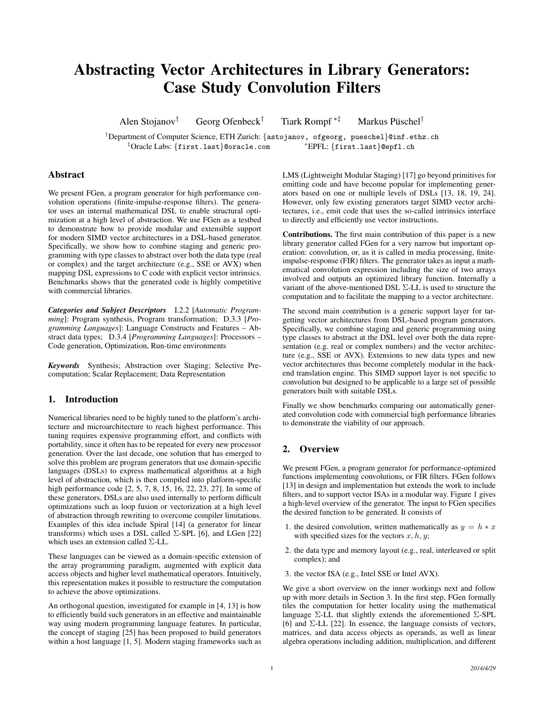# Abstracting Vector Architectures in Library Generators: Case Study Convolution Filters

Alen Stojanov<sup>†</sup> Georg Ofenbeck<sup>†</sup> Tiark Rompf<sup> $*$ ‡</sup> Markus Püschel<sup>†</sup>

 $^\dagger$ Department of Computer Science, ETH Zurich: {astojanov, ofgeorg, pueschel}@inf.ethz.ch ‡Oracle Labs: {first.last}@oracle.com <sup>∗</sup>EPFL: {first.last}@epfl.ch

# Abstract

We present FGen, a program generator for high performance convolution operations (finite-impulse-response filters). The generator uses an internal mathematical DSL to enable structural optimization at a high level of abstraction. We use FGen as a testbed to demonstrate how to provide modular and extensible support for modern SIMD vector architectures in a DSL-based generator. Specifically, we show how to combine staging and generic programming with type classes to abstract over both the data type (real or complex) and the target architecture (e.g., SSE or AVX) when mapping DSL expressions to C code with explicit vector intrinsics. Benchmarks shows that the generated code is highly competitive with commercial libraries.

*Categories and Subject Descriptors* I.2.2 [*Automatic Programming*]: Program synthesis, Program transformation; D.3.3 [*Programming Languages*]: Language Constructs and Features – Abstract data types; D.3.4 [*Programming Languages*]: Processors – Code generation, Optimization, Run-time environments

*Keywords* Synthesis; Abstraction over Staging; Selective Precomputation; Scalar Replacement; Data Representation

# 1. Introduction

Numerical libraries need to be highly tuned to the platform's architecture and microarchitecture to reach highest performance. This tuning requires expensive programming effort, and conflicts with portability, since it often has to be repeated for every new processor generation. Over the last decade, one solution that has emerged to solve this problem are program generators that use domain-specific languages (DSLs) to express mathematical algorithms at a high level of abstraction, which is then compiled into platform-specific high performance code [2, 5, 7, 8, 15, 16, 22, 23, 27]. In some of these generators, DSLs are also used internally to perform difficult optimizations such as loop fusion or vectorization at a high level of abstraction through rewriting to overcome compiler limitations. Examples of this idea include Spiral [14] (a generator for linear transforms) which uses a DSL called  $\Sigma$ -SPL [6], and LGen [22] which uses an extension called Σ-LL.

These languages can be viewed as a domain-specific extension of the array programming paradigm, augmented with explicit data access objects and higher level mathematical operators. Intuitively, this representation makes it possible to restructure the computation to achieve the above optimizations.

An orthogonal question, investigated for example in [4, 13] is how to efficiently build such generators in an effective and maintainable way using modern programming language features. In particular, the concept of staging [25] has been proposed to build generators within a host language [1, 5]. Modern staging frameworks such as LMS (Lightweight Modular Staging) [17] go beyond primitives for emitting code and have become popular for implementing generators based on one or multiple levels of DSLs [13, 18, 19, 24]. However, only few existing generators target SIMD vector architectures, i.e., emit code that uses the so-called intrinsics interface to directly and efficiently use vector instructions.

Contributions. The first main contribution of this paper is a new library generator called FGen for a very narrow but important operation: convolution, or, as it is called in media processing, finiteimpulse-response (FIR) filters. The generator takes as input a mathematical convolution expression including the size of two arrays involved and outputs an optimized library function. Internally a variant of the above-mentioned DSL Σ-LL is used to structure the computation and to facilitate the mapping to a vector architecture.

The second main contribution is a generic support layer for targetting vector architectures from DSL-based program generators. Specifically, we combine staging and generic programming using type classes to abstract at the DSL level over both the data representation (e.g. real or complex numbers) and the vector architecture (e.g., SSE or AVX). Extensions to new data types and new vector architectures thus become completely modular in the backend translation engine. This SIMD support layer is not specific to convolution but designed to be applicable to a large set of possible generators built with suitable DSLs.

Finally we show benchmarks comparing our automatically generated convolution code with commercial high performance libraries to demonstrate the viability of our approach.

# 2. Overview

We present FGen, a program generator for performance-optimized functions implementing convolutions, or FIR filters. FGen follows [13] in design and implementation but extends the work to include filters, and to support vector ISAs in a modular way. Figure 1 gives a high-level overview of the generator. The input to FGen specifies the desired function to be generated. It consists of

- 1. the desired convolution, written mathematically as  $y = h * x$ with specified sizes for the vectors  $x, h, y$ ;
- 2. the data type and memory layout (e.g., real, interleaved or split complex); and
- 3. the vector ISA (e.g., Intel SSE or Intel AVX).

We give a short overview on the inner workings next and follow up with more details in Section 3. In the first step, FGen formally tiles the computation for better locality using the mathematical language  $\Sigma$ -LL that slightly extends the aforementioned  $\Sigma$ -SPL [6] and  $\Sigma$ -LL [22]. In essence, the language consists of vectors, matrices, and data access objects as operands, as well as linear algebra operations including addition, multiplication, and different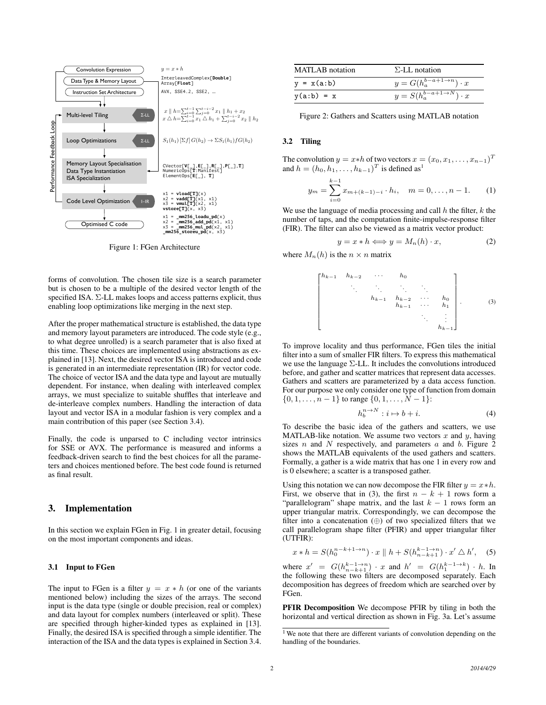

Figure 1: FGen Architecture

forms of convolution. The chosen tile size is a search parameter but is chosen to be a multiple of the desired vector length of the specified ISA.  $\Sigma$ -LL makes loops and access patterns explicit, thus enabling loop optimizations like merging in the next step.

After the proper mathematical structure is established, the data type and memory layout parameters are introduced. The code style (e.g., to what degree unrolled) is a search parameter that is also fixed at this time. These choices are implemented using abstractions as explained in [13]. Next, the desired vector ISA is introduced and code is generated in an intermediate representation (IR) for vector code. The choice of vector ISA and the data type and layout are mutually dependent. For instance, when dealing with interleaved complex arrays, we must specialize to suitable shuffles that interleave and de-interleave complex numbers. Handling the interaction of data layout and vector ISA in a modular fashion is very complex and a main contribution of this paper (see Section 3.4).

Finally, the code is unparsed to C including vector intrinsics for SSE or AVX. The performance is measured and informs a feedback-driven search to find the best choices for all the parameters and choices mentioned before. The best code found is returned as final result.

## 3. Implementation

In this section we explain FGen in Fig. 1 in greater detail, focusing on the most important components and ideas.

## 3.1 Input to FGen

The input to FGen is a filter  $y = x * h$  (or one of the variants mentioned below) including the sizes of the arrays. The second input is the data type (single or double precision, real or complex) and data layout for complex numbers (interleaved or split). These are specified through higher-kinded types as explained in [13]. Finally, the desired ISA is specified through a simple identifier. The interaction of the ISA and the data types is explained in Section 3.4.

| MATLAB notation | $\Sigma$ -LL notation                                |
|-----------------|------------------------------------------------------|
| $y = x(a:b)$    | $y = G(h_a^{b-a+1 \to n}) \cdot x$                   |
| $y(a:b) = x$    | $y = S(h_a^{b-a+\overline{1\rightarrow N}) \cdot x}$ |

Figure 2: Gathers and Scatters using MATLAB notation

## 3.2 Tiling

The convolution  $y = x * h$  of two vectors  $x = (x_0, x_1, \dots, x_{n-1})^T$ and  $h = (h_0, h_1, \dots, h_{k-1})^T$  is defined as<sup>1</sup>

$$
y_m = \sum_{i=0}^{k-1} x_{m+(k-1)-i} \cdot h_i, \quad m = 0, \dots, n-1.
$$
 (1)

We use the language of media processing and call  $h$  the filter,  $k$  the number of taps, and the computation finite-impulse-response filter (FIR). The filter can also be viewed as a matrix vector product:

$$
y = x * h \Longleftrightarrow y = M_n(h) \cdot x,\tag{2}
$$

where  $M_n(h)$  is the  $n \times n$  matrix

$$
\begin{bmatrix}\nh_{k-1} & h_{k-2} & \cdots & h_0 \\
\vdots & \vdots & \ddots & \vdots \\
h_{k-1} & h_{k-2} & \cdots & h_0 \\
h_{k-1} & \cdots & h_1 \\
\vdots & \vdots & \ddots & \vdots \\
h_{k-1}\n\end{bmatrix}.
$$
 (3)

To improve locality and thus performance, FGen tiles the initial filter into a sum of smaller FIR filters. To express this mathematical we use the language  $\Sigma$ -LL. It includes the convolutions introduced before, and gather and scatter matrices that represent data accesses. Gathers and scatters are parameterized by a data access function. For our purpose we only consider one type of function from domain  $\{0, 1, \ldots, n-1\}$  to range  $\{0, 1, \ldots, N-1\}$ :

$$
h_b^{n \to N} : i \mapsto b + i. \tag{4}
$$

To describe the basic idea of the gathers and scatters, we use MATLAB-like notation. We assume two vectors  $x$  and  $y$ , having sizes  $n$  and  $N$  respectively, and parameters  $a$  and  $b$ . Figure 2 shows the MATLAB equivalents of the used gathers and scatters. Formally, a gather is a wide matrix that has one 1 in every row and is 0 elsewhere; a scatter is a transposed gather.

Using this notation we can now decompose the FIR filter  $y = x * h$ . First, we observe that in (3), the first  $n - k + 1$  rows form a "parallelogram" shape matrix, and the last  $k - 1$  rows form an upper triangular matrix. Correspondingly, we can decompose the filter into a concatenation  $(\oplus)$  of two specialized filters that we call parallelogram shape filter (PFIR) and upper triangular filter (UTFIR):

$$
x * h = S(h_0^{n-k+1 \to n}) \cdot x \parallel h + S(h_{n-k+1}^{k-1 \to n}) \cdot x' \bigtriangleup h', \quad (5)
$$

where  $x' = G(h_{n-k+1}^{k-1 \to n}) \cdot x$  and  $h' = G(h_1^{k-1 \to k}) \cdot h$ . In the following these two filters are decomposed separately. Each decomposition has degrees of freedom which are searched over by FGen.

PFIR Decomposition We decompose PFIR by tiling in both the horizontal and vertical direction as shown in Fig. 3a. Let's assume

<sup>&</sup>lt;sup>1</sup> We note that there are different variants of convolution depending on the handling of the boundaries.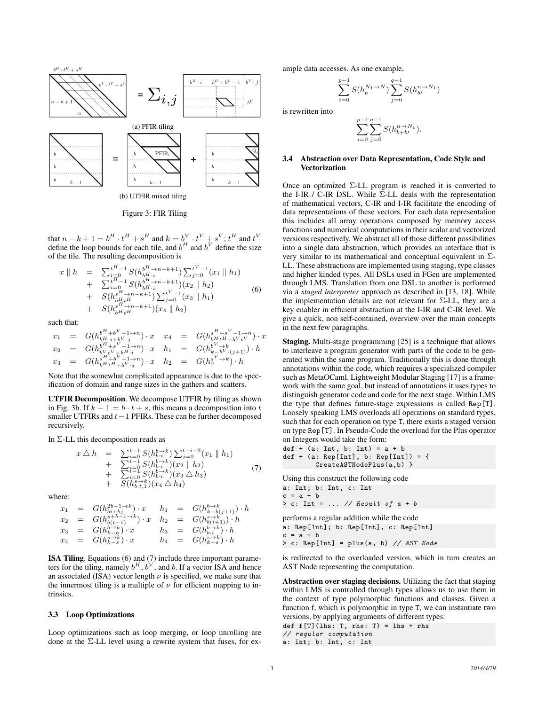

(b) UTFIR mixed tiling

Figure 3: FIR Tiling

that  $n - k + 1 = b^H \cdot t^H + s^H$  and  $k = b^V \cdot t^V + s^V$ ;  $t^H$  and  $t^V$ define the loop bounds for each tile, and  $b^H$  and  $b^V$  define the size of the tile. The resulting decomposition is

$$
x \parallel h = \sum_{i=0}^{t^{H}-1} S(h_{b^{H}+n-k+1}^{b^{H}\to n-k+1}) \sum_{j=0}^{t^{V}-1} (x_{1} \parallel h_{1}) + \sum_{i=0}^{t^{H}-1} S(h_{b^{H}+n-k+1}^{b^{H}\to n-k+1}) (x_{2} \parallel h_{2}) + S(h_{b^{H}+n-k+1}^{s^{H}\to n-k+1}) \sum_{j=0}^{t^{V}-1} (x_{3} \parallel h_{1}) + S(h_{b^{H}+n-k+1}^{s\to n-k+1}) (x_{4} \parallel h_{2})
$$
 (6)

such that:

$$
\begin{array}{rclcrcl} x_1 &=& G(h^{bH+bV-1\to n}_{bH+i+bV\cdot j})\cdot x & x_4 &=& G(h^{sH+sV-1\to n}_{bH+i+bVtV})\cdot x \\ x_2 &=& G(h^{bH+sV-1\to n}_{bV+t-bH\cdot i})\cdot x & h_1 &=& G(h^{bV\to k}_{k-bV\cdot (j+1)})\cdot h \\ x_3 &=& G(h^{sH+bV-1\to n}_{bH+i+bV\cdot j})\cdot x & h_2 &=& G(h^{sV\to k}_0)\cdot h \end{array}
$$

Note that the somewhat complicated appearance is due to the specification of domain and range sizes in the gathers and scatters.

UTFIR Decomposition. We decompose UTFIR by tiling as shown in Fig. 3b. If  $k - 1 = b \cdot t + s$ , this means a decomposition into t smaller UTFIRs and  $t-1$  PFIRs. These can be further decomposed recursively.

In Σ-LL this decomposition reads as

$$
x \triangle h = \sum_{i=0}^{t-1} S(h_{b-i}^{b\to k}) \sum_{j=0}^{t-i-2} (x_1 \parallel h_1) + \sum_{i=1}^{t-1} S(h_{b-i}^{b\to k}) (x_2 \parallel h_2) + \sum_{i=0}^{t-1} S(h_{b-i}^{b\to k}) (x_3 \triangle h_3) + S(h_{b+t,1}^{s\to k}) (x_4 \triangle h_4)
$$
 (7)

where:

$$
\begin{array}{rclcrcl} x_1 &=& G(h^{2b-1\to k}_{b:i+bj})\cdot x & h_1 &=& G(h^{k\to k}_{b:(j+1)})\cdot h \\ x_2 &=& G(h^{s+b-1\to k}_{b:(t-1)})\cdot x & h_2 &=& G(h^{s\to k}_{b:(i+1)})\cdot h \\ x_3 &=& G(h^{k\to k}_{k\to b})\cdot x & h_3 &=& G(h^{k\to k}_{b:i})\cdot h \\ x_4 &=& G(h^{s\to k}_{k\to s})\cdot x & h_4 &=& G(h^{s\to k}_{k\to s})\cdot h \end{array}
$$

ISA Tiling. Equations (6) and (7) include three important parameters for the tiling, namely  $b^H$ ,  $b^V$ , and b. If a vector ISA and hence an associated (ISA) vector length  $\nu$  is specified, we make sure that the innermost tiling is a multiple of  $\nu$  for efficient mapping to intrinsics.

#### 3.3 Loop Optimizations

Loop optimizations such as loop merging, or loop unrolling are done at the Σ-LL level using a rewrite system that fuses, for example data accesses. As one example,

$$
\sum_{i=0}^{p-1} S(h_b^{N_1 \to N}) \sum_{j=0}^{q-1} S(h_{b}^{n \to N_1})
$$

is rewritten into

$$
\sum_{i=0}^{p-1} \sum_{j=0}^{q-1} S(h^{n \to N_1}_{b+b'}).
$$

#### 3.4 Abstraction over Data Representation, Code Style and Vectorization

Once an optimized  $\Sigma$ -LL program is reached it is converted to the I-IR / C-IR DSL. While  $\Sigma$ -LL deals with the representation of mathematical vectors, C-IR and I-IR facilitate the encoding of data representations of these vectors. For each data representation this includes all array operations composed by memory access functions and numerical computations in their scalar and vectorized versions respectively. We abstract all of those different possibilities into a single data abstraction, which provides an interface that is very similar to its mathematical and conceptual equivalent in  $\Sigma$ -LL. These abstractions are implemented using staging, type classes and higher kinded types. All DSLs used in FGen are implemented through LMS. Translation from one DSL to another is performed via a *staged interpreter* approach as described in [13, 18]. While the implementation details are not relevant for  $\Sigma$ -LL, they are a key enabler in efficient abstraction at the I-IR and C-IR level. We give a quick, non self-contained, overview over the main concepts in the next few paragraphs.

Staging. Multi-stage programming [25] is a technique that allows to interleave a program generator with parts of the code to be generated within the same program. Traditionally this is done through annotations within the code, which requires a specialized compiler such as MetaOCaml. Lightweight Modular Staging [17] is a framework with the same goal, but instead of annotations it uses types to distinguish generator code and code for the next stage. Within LMS the type that defines future-stage expressions is called Rep[T]. Loosely speaking LMS overloads all operations on standard types, such that for each operation on type T, there exists a staged version on type Rep[T]. In Pseudo-Code the overload for the Plus operator on Integers would take the form:

$$
def + (a: Int, b: Int) = a + b
$$
  

$$
def + (a: Rep[Int], b: Rep[Int]) = \{
$$
  

$$
CreateASTNodePlus(a, b)
$$

Using this construct the following code a: Int; b: Int, c: Int  $c = a + b$  $> c$ : Int = ... // Result of  $a + b$ 

performs a regular addition while the code a: Rep[Int]; b: Rep[Int], c: Rep[Int]  $c = a + b$  $> c$ : Rep[Int] = plus(a, b) // AST Node

is redirected to the overloaded version, which in turn creates an AST Node representing the computation.

Abstraction over staging decisions. Utilizing the fact that staging within LMS is controlled through types allows us to use them in the context of type polymorphic functions and classes. Given a function f, which is polymorphic in type T, we can instantiate two versions, by applying arguments of different types:

def  $f[T](\text{ln }s: T, \text{rh }s: T) = \text{ln }s + \text{rh }s$ // regular computation a: Int; b: Int, c: Int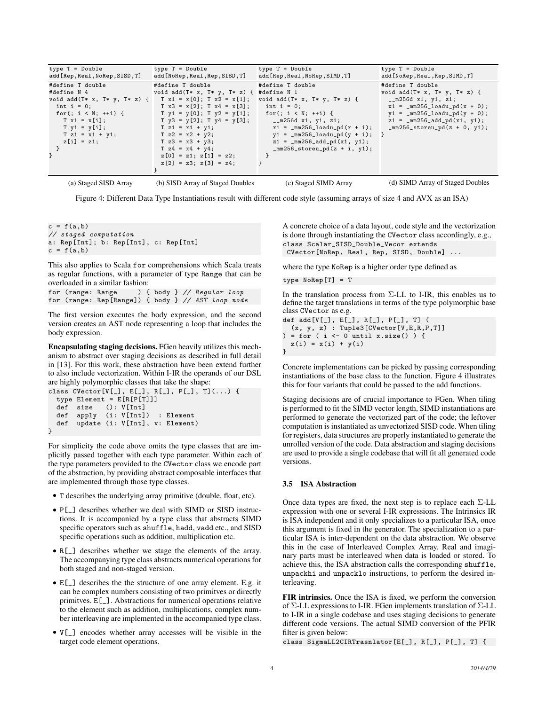| type T = Double                                              | type T = Double                                                                    | $type T = Double$                                                          | $type T = Double$                                                                |
|--------------------------------------------------------------|------------------------------------------------------------------------------------|----------------------------------------------------------------------------|----------------------------------------------------------------------------------|
| add [Rep, Real, NoRep, SISD, T]                              | add [NoRep, Real, Rep, SISD, T]                                                    | add [Rep, Real, NoRep, SIMD, T]                                            | add [NoRep, Real, Rep, SIMD, T]                                                  |
| #define T double<br>#define N 4                              | #define T double<br>void add(T* x, T* y, T* z) { #define N 1                       | #define T double                                                           | #define T double<br>void add $(T* x, T* y, T* z)$ {                              |
| void add $(T * x, T * y, T * z)$ { T x1 = x[0]; T x2 = x[1]; |                                                                                    | void add $(T* x, T* y, T* z)$ {                                            | $_{2}m256d$ x1, y1, z1;                                                          |
| int $i = 0$ ;<br>for(; $i \lt N$ ; ++i) {                    | $T x3 = x[2]; T x4 = x[3];$<br>$T y1 = y[0]; T y2 = y[1];$ for $(i, i < N; ++i)$ { | $int i = 0$ ;                                                              | $x1 = \text{mm256\_loadu\_pd(x + 0)};$<br>$y1 = \text{mm256\_loadu\_pd(y + 0)};$ |
| $T x1 = x[i];$                                               | $T \ y3 = y[2]; T \ y4 = y[3];$<br>$T z1 = x1 + y1$ ;                              | $\_m256d$ x1, y1, z1;<br>$x1 = \text{mm256\_loadu\_pd(x + i)}$ ;           | $z1 = \text{mm256\_add\_pd(x1, y1)};$                                            |
| $T$ y1 = y[i];<br>$T z1 = x1 + y1;$                          | $T z2 = x2 + y2;$                                                                  | $y1 = \text{mm256\_loadu\_pd}(y + i);$                                     | $mm256$ _storeu_pd $(z + 0, y1);$                                                |
| $z[i] = z1;$                                                 | $T z3 = x3 + y3$ ;<br>$T z4 = x4 + y4$ ;                                           | $z1 = \text{mm256\_add\_pd(x1, y1)};$<br>$mm256$ _storeu_pd $(z + i, y1);$ |                                                                                  |
|                                                              | $z[0] = z1; z[1] = z2;$                                                            |                                                                            |                                                                                  |
|                                                              | $z[2] = z3; z[3] = z4;$                                                            |                                                                            |                                                                                  |
| (a) Staged SISD Array                                        | (b) SISD Array of Staged Doubles                                                   | (c) Staged SIMD Array                                                      | (d) SIMD Array of Staged Doubles                                                 |

Figure 4: Different Data Type Instantiations result with different code style (assuming arrays of size 4 and AVX as an ISA)

 $c = f(a, b)$ // staged computation a: Rep[Int]; b: Rep[Int], c: Rep[Int]  $c = f(a, b)$ 

This also applies to Scala for comprehensions which Scala treats as regular functions, with a parameter of type Range that can be overloaded in a similar fashion:<br>for (range: Range) {

) { body } // Regular loop for (range: Rep[Range]) { body } // AST loop node

The first version executes the body expression, and the second version creates an AST node representing a loop that includes the body expression.

Encapsulating staging decisions. FGen heavily utilizes this mechanism to abstract over staging decisions as described in full detail in [13]. For this work, these abstraction have been extend further to also include vectorization. Within I-IR the operands of our DSL are highly polymorphic classes that take the shape:

```
class CVector[V[_], E[_], R[_], P[_], T](...) {
  type Element = E[R[P[T]]]
 def size (): V[Int]
 def apply (i: V[Int]) : Element
 def update (i: V[Int], v: Element)
}
```
For simplicity the code above omits the type classes that are implicitly passed together with each type parameter. Within each of the type parameters provided to the CVector class we encode part of the abstraction, by providing abstract composable interfaces that are implemented through those type classes.

- T describes the underlying array primitive (double, float, etc).
- P[\_] describes whether we deal with SIMD or SISD instructions. It is accompanied by a type class that abstracts SIMD specific operators such as shuffle, hadd, vadd etc., and SISD specific operations such as addition, multiplication etc.
- R[\_] describes whether we stage the elements of the array. The accompanying type class abstracts numerical operations for both staged and non-staged version.
- E[\_] describes the the structure of one array element. E.g. it can be complex numbers consisting of two primitves or directly primitves. E[\_]. Abstractions for numerical operations relative to the element such as addition, multiplications, complex number interleaving are implemented in the accompanied type class.
- V[\_] encodes whether array accesses will be visible in the target code element operations.

A concrete choice of a data layout, code style and the vectorization is done through instantiating the CVector class accordingly, e.g., class Scalar\_SISD\_Double\_Vecor extends CVector[NoRep, Real, Rep, SISD, Double] ...

where the type NoRep is a higher order type defined as

```
type NoRep[T] = T
```
In the translation process from  $\Sigma$ -LL to I-IR, this enables us to define the target translations in terms of the type polymorphic base class CVector as e.g.

```
def add[V[_], E[_], R[_], P[_], T] (
  (x, y, z) : Tuple3[CVector[V,E,R,P,T]]
 = for ( i \leftarrow 0 until x.size() ) {
 z(i) = x(i) + y(i)}
```
Concrete implementations can be picked by passing corresponding instantiations of the base class to the function. Figure 4 illustrates this for four variants that could be passed to the add functions.

Staging decisions are of crucial importance to FGen. When tiling is performed to fit the SIMD vector length, SIMD instantiations are performed to generate the vectorized part of the code; the leftover computation is instantiated as unvectorized SISD code. When tiling for registers, data structures are properly instantiated to generate the unrolled version of the code. Data abstraction and staging decisions are used to provide a single codebase that will fit all generated code versions.

## 3.5 ISA Abstraction

Once data types are fixed, the next step is to replace each  $\Sigma$ -LL expression with one or several I-IR expressions. The Intrinsics IR is ISA independent and it only specializes to a particular ISA, once this argument is fixed in the generator. The specialization to a particular ISA is inter-dependent on the data abstraction. We observe this in the case of Interleaved Complex Array. Real and imaginary parts must be interleaved when data is loaded or stored. To achieve this, the ISA abstraction calls the corresponding shuffle, unpackhi and unpacklo instructions, to perform the desired interleaving.

FIR intrinsics. Once the ISA is fixed, we perform the conversion of Σ-LL expressions to I-IR. FGen implements translation of Σ-LL to I-IR in a single codebase and uses staging decisions to generate different code versions. The actual SIMD conversion of the PFIR filter is given below:

class SigmaLL2CIRTrasnlator[E[\_], R[\_], P[\_], T] {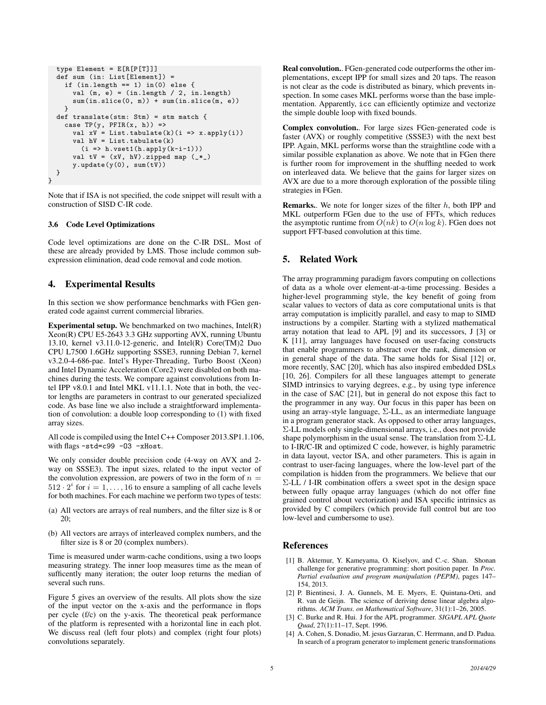```
type Element = E[R[P[T]]]
  def sum (in: List[Element]) =
    if (in.length == 1) in(0) else {val (m, e) = (in.length / 2, in.length)sum(in.slice(0, m)) + sum(in.slice(m, e))
    }
  def translate(stm: Stm) = stm match {
    case TP(y, PFIR(x, h)) =>
      val xV = List.tabulate(k)(i \implies x.append(y(i))val hV = List.tabulate(k)
        (i \Rightarrow h.vset1(h.\naply(k-i-1)))val tV = (xV, hV).zipped map (-*)y.update(y(0), sum(tV))
  }
}
```
Note that if ISA is not specified, the code snippet will result with a construction of SISD C-IR code.

## 3.6 Code Level Optimizations

Code level optimizations are done on the C-IR DSL. Most of these are already provided by LMS. Those include common subexpression elimination, dead code removal and code motion.

# 4. Experimental Results

In this section we show performance benchmarks with FGen generated code against current commercial libraries.

**Experimental setup.** We benchmarked on two machines,  $Intel(R)$ Xeon(R) CPU E5-2643 3.3 GHz supporting AVX, running Ubuntu 13.10, kernel v3.11.0-12-generic, and Intel(R) Core(TM)2 Duo CPU L7500 1.6GHz supporting SSSE3, running Debian 7, kernel v3.2.0-4-686-pae. Intel's Hyper-Threading, Turbo Boost (Xeon) and Intel Dynamic Acceleration (Core2) were disabled on both machines during the tests. We compare against convolutions from Intel IPP v8.0.1 and Intel MKL v11.1.1. Note that in both, the vector lengths are parameters in contrast to our generated specialized code. As base line we also include a straightforward implementation of convolution: a double loop corresponding to (1) with fixed array sizes.

All code is compiled using the Intel C++ Composer 2013.SP1.1.106, with flags -std=c99 -03 -xHost.

We only consider double precision code (4-way on AVX and 2 way on SSSE3). The input sizes, related to the input vector of the convolution expression, are powers of two in the form of  $n =$  $512 \cdot 2^i$  for  $i = 1, \ldots, 16$  to ensure a sampling of all cache levels for both machines. For each machine we perform two types of tests:

- (a) All vectors are arrays of real numbers, and the filter size is 8 or 20;
- (b) All vectors are arrays of interleaved complex numbers, and the filter size is 8 or 20 (complex numbers).

Time is measured under warm-cache conditions, using a two loops measuring strategy. The inner loop measures time as the mean of sufficently many iteration; the outer loop returns the median of several such runs.

Figure 5 gives an overview of the results. All plots show the size of the input vector on the x-axis and the performance in flops per cycle (f/c) on the y-axis. The theoretical peak performance of the platform is represented with a horizontal line in each plot. We discuss real (left four plots) and complex (right four plots) convolutions separately.

Real convolution.. FGen-generated code outperforms the other implementations, except IPP for small sizes and 20 taps. The reason is not clear as the code is distributed as binary, which prevents inspection. In some cases MKL performs worse than the base implementation. Apparently, icc can efficiently optimize and vectorize the simple double loop with fixed bounds.

Complex convolution.. For large sizes FGen-generated code is faster (AVX) or roughly competitive (SSSE3) with the next best IPP. Again, MKL performs worse than the straightline code with a similar possible explanation as above. We note that in FGen there is further room for improvement in the shuffling needed to work on interleaved data. We believe that the gains for larger sizes on AVX are due to a more thorough exploration of the possible tiling strategies in FGen.

**Remarks.**. We note for longer sizes of the filter  $h$ , both IPP and MKL outperform FGen due to the use of FFTs, which reduces the asymptotic runtime from  $O(nk)$  to  $O(n \log k)$ . FGen does not support FFT-based convolution at this time.

# 5. Related Work

The array programming paradigm favors computing on collections of data as a whole over element-at-a-time processing. Besides a higher-level programming style, the key benefit of going from scalar values to vectors of data as core computational units is that array computation is implicitly parallel, and easy to map to SIMD instructions by a compiler. Starting with a stylized mathematical array notation that lead to APL [9] and its successors, J [3] or K [11], array languages have focused on user-facing constructs that enable programmers to abstract over the rank, dimension or in general shape of the data. The same holds for Sisal [12] or, more recently, SAC [20], which has also inspired embedded DSLs [10, 26]. Compilers for all these languages attempt to generate SIMD intrinsics to varying degrees, e.g., by using type inference in the case of SAC [21], but in general do not expose this fact to the programmer in any way. Our focus in this paper has been on using an array-style language,  $\Sigma$ -LL, as an intermediate language in a program generator stack. As opposed to other array languages, Σ-LL models only single-dimensional arrays, i.e., does not provide shape polymorphism in the usual sense. The translation from  $\Sigma$ -LL to I-IR/C-IR and optimized C code, however, is highly parametric in data layout, vector ISA, and other parameters. This is again in contrast to user-facing languages, where the low-level part of the compilation is hidden from the programmers. We believe that our Σ-LL / I-IR combination offers a sweet spot in the design space between fully opaque array languages (which do not offer fine grained control about vectorization) and ISA specific intrinsics as provided by C compilers (which provide full control but are too low-level and cumbersome to use).

# **References**

- [1] B. Aktemur, Y. Kameyama, O. Kiselyov, and C.-c. Shan. Shonan challenge for generative programming: short position paper. In *Proc. Partial evaluation and program manipulation (PEPM)*, pages 147– 154, 2013.
- [2] P. Bientinesi, J. A. Gunnels, M. E. Myers, E. Quintana-Orti, and R. van de Geijn. The science of deriving dense linear algebra algorithms. *ACM Trans. on Mathematical Software*, 31(1):1–26, 2005.
- [3] C. Burke and R. Hui. J for the APL programmer. *SIGAPL APL Quote Quad*, 27(1):11–17, Sept. 1996.
- [4] A. Cohen, S. Donadio, M. jesus Garzaran, C. Herrmann, and D. Padua. In search of a program generator to implement generic transformations